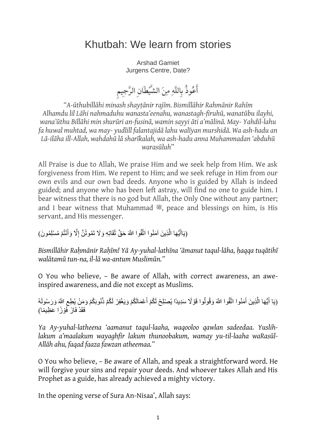## Khutbah: We learn from stories

Arshad Gamiet Jurgens Centre, Date?

أَعُوذُ بِاللَّهِ مِنَ الشَّيْطَانِ الرَّجِيمِ

*"A-ūthubillāhi minash shayṭānir rajīm. Bismillāhir Rahmānir Rahīm Alhamdu lil Lāhi nahmaduhu wanasta'eenahu, wanastagh-firuhū, wanatūbu ilayhi,* wana'ūthu Billāhi min shurūri an-fusinā, wamin sayyi āti a'mālinā. May- Yahdil-lahu *fa huwal muhtad, wa may- yudlill falantajidā lahu walīyan murshidā. Wa ash-hadu an Lā-ilāha ill-Allah, wahdahū lā sharīkalah, wa ash-hadu anna Muhammadan 'abduhū warasūluh*"

All Praise is due to Allah, We praise Him and we seek help from Him. We ask forgiveness from Him. We repent to Him; and we seek refuge in Him from our own evils and our own bad deeds. Anyone who is guided by Allah is indeed guided; and anyone who has been left astray, will find no one to guide him. I bear witness that there is no god but Allah, the Only One without any partner; and I bear witness that Muhammad , peace and blessings on him, is His servant, and His messenger.

(يَاأَيُّهَا الَّذِينَ آمَنُوا اتَّقُوا اللَّهَ حَقَّ تُقَاتِهِ وَلَا تَمُوتُنَّ إِلَّا وَأَنْتُمْ مُسْلِمُونَ) َّ َ ِ

Bismillāhir Rahmānir Rahīm! Yā Ay-yuhal-lathīna 'āmanut taqul-lāha, haqqa tuqātihī *walātamū tun-na, il-lā wa-antum Muslimūn."*

O You who believe, – Be aware of Allah, with correct awareness, an aweinspired awareness, and die not except as Muslims.

(يَا أَيُّهَا الَّذِينَ آَمَنُوا اتَّقُوا اللَّهَ وَقُولُوا قَوْ لَا سَدِيدًا يُصْلِحْ لَكُمْ أَعْمَالَكُمْ وَيَغْفِرْ لَكُمْ ذُنُوبَكُمْ وَمَنْ يُطِعِ اللَّهَ وَرَسُولَهُ َ َ اً َ ِ فَقَدْ فَازَ فَوْزًا عَظِيمًا)

*Ya Ay-yuhal-latheena 'aamanut taqul-laaha, waqooloo qawlan sadeedaa. Yuslihlakum a'maalakum wayaghfir lakum thunoobakum, wamay yu-til-laaha waRasūl-Allāh ahu, faqad faaza fawzan atheemaa."*

O You who believe, – Be aware of Allah, and speak a straightforward word. He will forgive your sins and repair your deeds. And whoever takes Allah and His Prophet as a guide, has already achieved a mighty victory.

In the opening verse of Sura An-Nisaa', Allah says: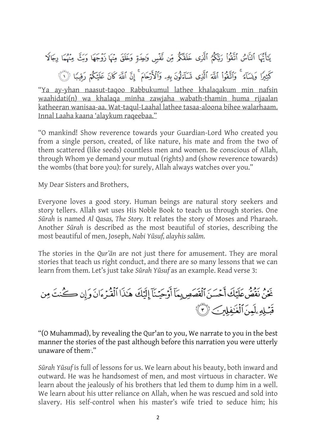يَأَيُّهَا ٱلنَّاسُ ٱتَّقُواْ رَبَّكُمُ ٱلَّذِى خَلَقَكُمْ مِّن نَّفْسٍ وَلِحِدَةٍ وَخَلَقَ مِنْهَا زَوْجَهَا وَبَثَّ مِنْهُمَا رِجَالَا كَثِيرًا وَنِسَآءً ۚ وَٱتَّقُواْ ٱللَّهَ ٱلَّذِى نَسَآءَلُونَ بِهِۦ وَٱلْأَرْحَامَ ۚ إِنَّ ٱللَّهَ كَانَ عَلَيْكُمْ رَقِيبًا ۞

"Ya ay-yhan naasut-taqoo Rabbukumul lathee khalaqakum min nafsin waahidati(n) wa khalaqa minha zawjaha wabath-thamin huma rijaalan katheeran wanisaa-aa. Wat-taqul-Laahal lathee tasaa-aloona bihee walarhaam. Innal Laaha kaana 'alaykum raqeebaa."

"O mankind! Show reverence towards your Guardian-Lord Who created you from a single person, created, of like nature, his mate and from the two of them scattered (like seeds) countless men and women. Be conscious of Allah, through Whom ye demand your mutual (rights) and (show reverence towards) the wombs (that bore you): for surely, Allah always watches over you."

My Dear Sisters and Brothers,

Everyone loves a good story. Human beings are natural story seekers and story tellers. Allah swt uses His Noble Book to teach us through stories. One *Sūrah* is named *Al Qasas, The Story.* It relates the story of Moses and Pharaoh. Another *Sūrah* is described as the most beautiful of stories, describing the most beautiful of men, Joseph, *Nabi Yūsuf, alayhis salām.*

The stories in the *Qur'ān* are not just there for amusement. They are moral stories that teach us right conduct, and there are so many lessons that we can learn from them. Let's just take *Sūrah Yūsuf* as an example. Read verse 3:

غَنْ نَقْصٌ عَلَيْكَ أَحْسَنَ ٱلْقَصَصِ بِمَآ أَوْجَيْنَآ إِلَيْكَ هَٰذَا ٱلْقُرْءَانَ وَإِن كُنْتَ مِن قَيْلِهِ بِلَعِنَ ٱلْغَيْفِلِينِ ﴿ ثُلُ الْمَنْ

"(O Muhammad), by revealing the Qur'an to you, We narrate to you in the best manner the stories of the past although before this narration you were utterly unaware of them<sup>3</sup>."

*Sūrah Yūsuf* is full of lessons for us. We learn about his beauty, both inward and outward. He was he handsomest of men, and most virtuous in character. We learn about the jealously of his brothers that led them to dump him in a well. We learn about his utter reliance on Allah, when he was rescued and sold into slavery. His self-control when his master's wife tried to seduce him; his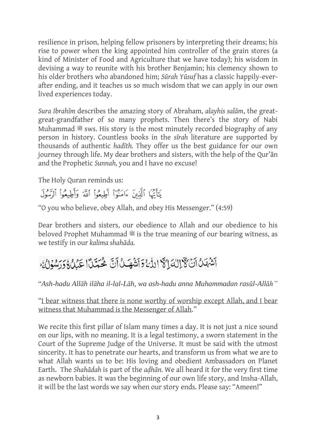resilience in prison, helping fellow prisoners by interpreting their dreams; his rise to power when the king appointed him controller of the grain stores (a kind of Minister of Food and Agriculture that we have today); his wisdom in devising a way to reunite with his brother Benjamin; his clemency shown to his older brothers who abandoned him; *Sūrah Yūsuf* has a classic happily-everafter ending, and it teaches us so much wisdom that we can apply in our own lived experiences today.

*Sura Ibrahīm* describes the amazing story of Abraham, *alayhis salām*, the greatgreat-grandfather of so many prophets. Then there's the story of Nabi Muhammad  $\mathcal{L}$  sws. His story is the most minutely recorded biography of any person in history. Countless books in the *sīrah* literature are supported by thousands of authentic *hadīth.* They offer us the best guidance for our own journey through life. My dear brothers and sisters, with the help of the Qur'ān and the Prophetic *Sunnah,* you and I have no excuse!

The Holy Quran reminds us:

يَتَأَنَّهَا ٱلَّذِينَ ءَامَنُوٓاْ أَطِيعُواْ ٱللَّهَ وَأَطِيعُواْ ٱلرَّسُولَ

"O you who believe, obey Allah, and obey His Messenger." (4:59)

Dear brothers and sisters, our obedience to Allah and our obedience to his beloved Prophet Muhammad  $\equiv$  is the true meaning of our bearing witness, as we testify in our *kalima shahāda.*

## أَشْهَدُ أَنْ لَأَإِلَهَا لَا اللَّهُ وَأَشْهَدُ أَنَّ هُجَدّاً عَدُلٌ ذَرَسُوْلُهُ

"*Ash-hadu Allāh ilāha il-lal-Lāh, wa ash-hadu anna Muhammadan rasūl-Allāh"*

"I bear witness that there is none worthy of worship except Allah, and I bear witness that Muhammad is the Messenger of Allah."

We recite this first pillar of Islam many times a day. It is not just a nice sound on our lips, with no meaning. It is a legal testimony, a sworn statement in the Court of the Supreme Judge of the Universe. It must be said with the utmost sincerity. It has to penetrate our hearts, and transform us from what we are to what Allah wants us to be: His loving and obedient Ambassadors on Planet Earth. The *Shahādah* is part of the *aḍhān.* We all heard it for the very first time as newborn babies. It was the beginning of our own life story, and Insha-Allah, it will be the last words we say when our story ends. Please say: "Ameen!"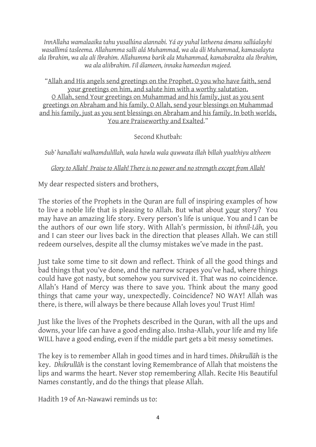*InnAllaha wamalaaika tahu yusallúna alannabi. Yá ay yuhal latheena ámanu sallúalayhi wasallimú tasleema. Allahumma salli alá Muhammad, wa ala áli Muhammad, kamasalayta ala Ibrahim, wa ala ali Ibrahim. Allahumma barik ala Muhammad, kamabarakta ala Ibrahim, wa ala aliibrahim. Fil álameen, innaka hameedun majeed.*

"Allah and His angels send greetings on the Prophet. O you who have faith, send your greetings on him, and salute him with a worthy salutation. O Allah, send Your greetings on Muhammad and his family, just as you sent greetings on Abraham and his family. O Allah, send your blessings on Muhammad and his family, just as you sent blessings on Abraham and his family. In both worlds, You are Praiseworthy and Exalted."

Second Khutbah:

*Sub' hanallahi walhamdulillah, wala hawla wala quwwata illah billah yualthiyu altheem*

*Glory to Allah! Praise to Allah! There is no power and no strength except from Allah!*

My dear respected sisters and brothers,

The stories of the Prophets in the Quran are full of inspiring examples of how to live a noble life that is pleasing to Allah. But what about your story? You may have an amazing life story. Every person's life is unique. You and I can be the authors of our own life story. With Allah's permission, *bi ithnil-Lāh,* you and I can steer our lives back in the direction that pleases Allah. We can still redeem ourselves, despite all the clumsy mistakes we've made in the past.

Just take some time to sit down and reflect. Think of all the good things and bad things that you've done, and the narrow scrapes you've had, where things could have got nasty, but somehow you survived it. That was no coincidence. Allah's Hand of Mercy was there to save you. Think about the many good things that came your way, unexpectedly. Coincidence? NO WAY! Allah was there, is there, will always be there because Allah loves you! Trust Him!

Just like the lives of the Prophets described in the Quran, with all the ups and downs, your life can have a good ending also. Insha-Allah, your life and my life WILL have a good ending, even if the middle part gets a bit messy sometimes.

The key is to remember Allah in good times and in hard times. *Dhikrullāh* is the key. *Dhikrullāh* is the constant loving Remembrance of Allah that moistens the lips and warms the heart. Never stop remembering Allah. Recite His Beautiful Names constantly, and do the things that please Allah.

Hadith 19 of An-Nawawi reminds us to: